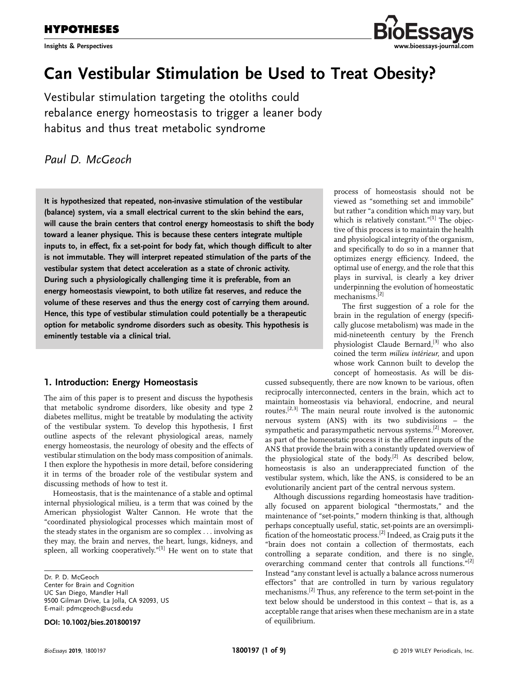**Insights & Perspectives** 



# **Can Vestibular Stimulation be Used to Treat Obesity?**

Vestibular stimulation targeting the otoliths could rebalance energy homeostasis to trigger a leaner body habitus and thus treat metabolic syndrome

## *Paul D. McGeoch*

**It is hypothesized that repeated, non-invasive stimulation of the vestibular (balance) system, via a small electrical current to the skin behind the ears, will cause the brain centers that control energy homeostasis to shift the body toward a leaner physique. This is because these centers integrate multiple inputs to, in effect, fix a set-point for body fat, which though difficult to alter is not immutable. They will interpret repeated stimulation of the parts of the vestibular system that detect acceleration as a state of chronic activity. During such a physiologically challenging time it is preferable, from an energy homeostasis viewpoint, to both utilize fat reserves, and reduce the volume of these reserves and thus the energy cost of carrying them around. Hence, this type of vestibular stimulation could potentially be a therapeutic option for metabolic syndrome disorders such as obesity. This hypothesis is eminently testable via a clinical trial.**

## **1. Introduction: Energy Homeostasis**

The aim of this paper is to present and discuss the hypothesis that metabolic syndrome disorders, like obesity and type 2 diabetes mellitus, might be treatable by modulating the activity of the vestibular system. To develop this hypothesis, I first outline aspects of the relevant physiological areas, namely energy homeostasis, the neurology of obesity and the effects of vestibular stimulation on the body mass composition of animals. I then explore the hypothesis in more detail, before considering it in terms of the broader role of the vestibular system and discussing methods of how to test it.

Homeostasis, that is the maintenance of a stable and optimal internal physiological milieu, is a term that was coined by the American physiologist Walter Cannon. He wrote that the "coordinated physiological processes which maintain most of the steady states in the organism are so complex ... involving as they may, the brain and nerves, the heart, lungs, kidneys, and spleen, all working cooperatively."<sup>[1]</sup> He went on to state that

Dr. P. D. McGeoch Center for Brain and Cognition UC San Diego, Mandler Hall 9500 Gilman Drive, La Jolla, CA 92093, US E-mail: pdmcgeoch@ucsd.edu

**DOI: 10.1002/bies.201800197**

process of homeostasis should not be viewed as "something set and immobile" but rather "a condition which may vary, but which is relatively constant."<sup>[1]</sup> The objective of this process is to maintain the health and physiological integrity of the organism, and specifically to do so in a manner that optimizes energy efficiency. Indeed, the optimal use of energy, and the role that this plays in survival, is clearly a key driver underpinning the evolution of homeostatic mechanisms.[2]

The first suggestion of a role for the brain in the regulation of energy (specifically glucose metabolism) was made in the mid-nineteenth century by the French physiologist Claude Bernard,<sup>[3]</sup> who also coined the term *milieu intérieur*, and upon whose work Cannon built to develop the concept of homeostasis. As will be dis-

cussed subsequently, there are now known to be various, often reciprocally interconnected, centers in the brain, which act to maintain homeostasis via behavioral, endocrine, and neural routes.[2,3] The main neural route involved is the autonomic nervous system (ANS) with its two subdivisions – the sympathetic and parasympathetic nervous systems.[2] Moreover, as part of the homeostatic process it is the afferent inputs of the ANS that provide the brain with a constantly updated overview of the physiological state of the body.<sup>[2]</sup> As described below, homeostasis is also an underappreciated function of the vestibular system, which, like the ANS, is considered to be an evolutionarily ancient part of the central nervous system.

Although discussions regarding homeostasis have traditionally focused on apparent biological "thermostats," and the maintenance of "set-points," modern thinking is that, although perhaps conceptually useful, static, set-points are an oversimplification of the homeostatic process.<sup>[2]</sup> Indeed, as Craig puts it the "brain does not contain a collection of thermostats, each controlling a separate condition, and there is no single, overarching command center that controls all functions."<sup>[2]</sup> Instead "any constant level is actually a balance across numerous effectors" that are controlled in turn by various regulatory mechanisms.[2] Thus, any reference to the term set-point in the text below should be understood in this context – that is, as a acceptable range that arises when these mechanism are in a state of equilibrium.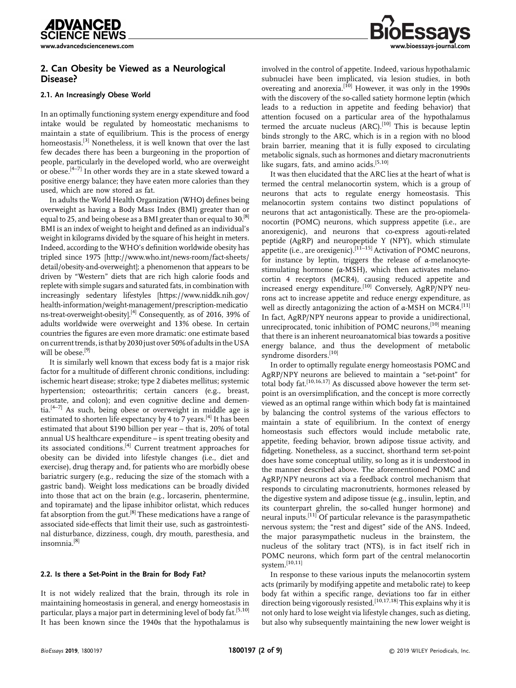

## **2. Can Obesity be Viewed as a Neurological Disease?**

#### **2.1. An Increasingly Obese World**

In an optimally functioning system energy expenditure and food intake would be regulated by homeostatic mechanisms to maintain a state of equilibrium. This is the process of energy homeostasis.[3] Nonetheless, it is well known that over the last few decades there has been a burgeoning in the proportion of people, particularly in the developed world, who are overweight or obese.[4–7] In other words they are in a state skewed toward a positive energy balance; they have eaten more calories than they used, which are now stored as fat.

In adults the World Health Organization (WHO) defines being overweight as having a Body Mass Index (BMI) greater than or equal to 25, and being obese as a BMI greater than or equal to 30.<sup>[8]</sup> BMI is an index of weight to height and defined as an individual's weight in kilograms divided by the square of his height in meters. Indeed, according to the WHO's definition worldwide obesity has tripled since 1975 [[http://www.who.int/news-room/fact-sheets/](http://www.who.int/news-room/fact-sheets/detail/obesity-and-overweight) [detail/obesity-and-overweight\]](http://www.who.int/news-room/fact-sheets/detail/obesity-and-overweight); a phenomenon that appears to be driven by "Western" diets that are rich high calorie foods and replete with simple sugars and saturated fats, in combination with increasingly sedentary lifestyles [[https://www.niddk.nih.gov/](https://www.niddk.nih.gov/health-information/weight-management/prescription-medications-treat-overweight-obesity) [health-information/weight-management/prescription-medicatio](https://www.niddk.nih.gov/health-information/weight-management/prescription-medications-treat-overweight-obesity) [ns-treat-overweight-obesity\]](https://www.niddk.nih.gov/health-information/weight-management/prescription-medications-treat-overweight-obesity).[4] Consequently, as of 2016, 39% of adults worldwide were overweight and 13% obese. In certain countries the figures are even more dramatic: one estimate based on current trends, is that by 2030 just over 50% of adults in the USA will be obese.<sup>[9]</sup>

It is similarly well known that excess body fat is a major risk factor for a multitude of different chronic conditions, including: ischemic heart disease; stroke; type 2 diabetes mellitus; systemic hypertension; osteoarthritis; certain cancers (e.g., breast, prostate, and colon); and even cognitive decline and dementia.[4–7] As such, being obese or overweight in middle age is estimated to shorten life expectancy by 4 to 7 years.<sup>[4]</sup> It has been estimated that about \$190 billion per year – that is, 20% of total annual US healthcare expenditure – is spent treating obesity and its associated conditions.<sup>[4]</sup> Current treatment approaches for obesity can be divided into lifestyle changes (i.e., diet and exercise), drug therapy and, for patients who are morbidly obese bariatric surgery (e.g., reducing the size of the stomach with a gastric band). Weight loss medications can be broadly divided into those that act on the brain (e.g., lorcaserin, phentermine, and topiramate) and the lipase inhibitor orlistat, which reduces fat absorption from the gut.<sup>[8]</sup> These medications have a range of associated side-effects that limit their use, such as gastrointestinal disturbance, dizziness, cough, dry mouth, paresthesia, and insomnia.[8]

#### **2.2. Is there a Set-Point in the Brain for Body Fat?**

It is not widely realized that the brain, through its role in maintaining homeostasis in general, and energy homeostasis in particular, plays a major part in determining level of body fat.<sup>[5,10]</sup> It has been known since the 1940s that the hypothalamus is



involved in the control of appetite. Indeed, various hypothalamic subnuclei have been implicated, via lesion studies, in both overeating and anorexia.<sup>[10]</sup> However, it was only in the 1990s with the discovery of the so-called satiety hormone leptin (which leads to a reduction in appetite and feeding behavior) that attention focused on a particular area of the hypothalamus termed the arcuate nucleus  $(ARC)$ .<sup>[10]</sup> This is because leptin binds strongly to the ARC, which is in a region with no blood brain barrier, meaning that it is fully exposed to circulating metabolic signals, such as hormones and dietary macronutrients like sugars, fats, and amino acids.<sup>[5,10]</sup>

It was then elucidated that the ARC lies at the heart of what is termed the central melanocortin system, which is a group of neurons that acts to regulate energy homeostasis. This melanocortin system contains two distinct populations of neurons that act antagonistically. These are the pro-opiomelanocortin (POMC) neurons, which suppress appetite (i.e., are anorexigenic), and neurons that co-express agouti-related peptide (AgRP) and neuropeptide Y (NPY), which stimulate  $r$ - $r$ - $\ldots$ ,  $r$ - $\ldots$ ,  $r$  and  $r$   $\ldots$   $r$   $\ldots$   $r$   $\ldots$   $r$   $\ldots$ ,  $r$   $\ldots$ ,  $r$   $\ldots$ ,  $r$   $\ldots$ ,  $r$   $\ldots$ ,  $r$   $\ldots$ ,  $r$   $\ldots$ ,  $r$   $\ldots$ ,  $r$   $\ldots$ ,  $r$   $\ldots$ ,  $r$   $\ldots$ ,  $r$   $\ldots$ ,  $r$   $\ldots$ ,  $r$   $\ldots$ ,  $r$ for instance by leptin, triggers the release of α-melanocytestimulating hormone (α-MSH), which then activates melanocortin 4 receptors (MCR4), causing reduced appetite and increased energy expenditure.<sup>[10]</sup> Conversely, AgRP/NPY neurons act to increase appetite and reduce energy expenditure, as well as directly antagonizing the action of α-MSH on MCR4.<sup>[11]</sup> In fact, AgRP/NPY neurons appear to provide a unidirectional, unreciprocated, tonic inhibition of POMC neurons,<sup>[10]</sup> meaning that there is an inherent neuroanatomical bias towards a positive energy balance, and thus the development of metabolic syndrome disorders.[10]

In order to optimally regulate energy homeostasis POMC and AgRP/NPY neurons are believed to maintain a "set-point" for total body fat.<sup>[10,16,17]</sup> As discussed above however the term setpoint is an oversimplification, and the concept is more correctly viewed as an optimal range within which body fat is maintained by balancing the control systems of the various effectors to maintain a state of equilibrium. In the context of energy homeostasis such effectors would include metabolic rate, appetite, feeding behavior, brown adipose tissue activity, and fidgeting. Nonetheless, as a succinct, shorthand term set-point does have some conceptual utility, so long as it is understood in the manner described above. The aforementioned POMC and AgRP/NPY neurons act via a feedback control mechanism that responds to circulating macronutrients, hormones released by the digestive system and adipose tissue (e.g., insulin, leptin, and its counterpart ghrelin, the so-called hunger hormone) and neural inputs.[11] Of particular relevance is the parasympathetic nervous system; the "rest and digest" side of the ANS. Indeed, the major parasympathetic nucleus in the brainstem, the nucleus of the solitary tract (NTS), is in fact itself rich in POMC neurons, which form part of the central melanocortin system.[10,11]

In response to these various inputs the melanocortin system acts (primarily by modifying appetite and metabolic rate) to keep body fat within a specific range, deviations too far in either direction being vigorously resisted.<sup>[10,17,18]</sup> This explains why it is not only hard to lose weight via lifestyle changes, such as dieting, but also why subsequently maintaining the new lower weight is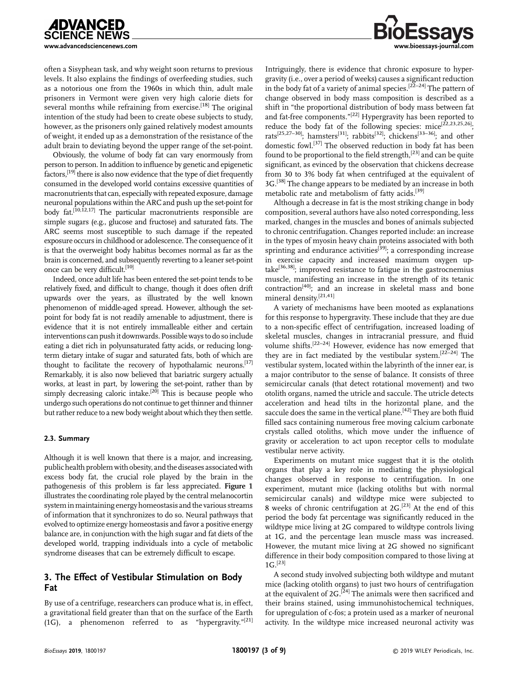



often a Sisyphean task, and why weight soon returns to previous levels. It also explains the findings of overfeeding studies, such as a notorious one from the 1960s in which thin, adult male prisoners in Vermont were given very high calorie diets for several months while refraining from exercise.<sup>[18]</sup> The original intention of the study had been to create obese subjects to study, however, as the prisoners only gained relatively modest amounts of weight, it ended up as a demonstration of the resistance of the adult brain to deviating beyond the upper range of the set-point.

Obviously, the volume of body fat can vary enormously from person to person. In addition to influence by genetic and epigenetic factors,[19] there is also now evidence that the type of diet frequently consumed in the developed world contains excessive quantities of macronutrients that can, especially with repeated exposure, damage neuronal populations within the ARC and push up the set-point for body fat.<sup>[10,12,17]</sup> The particular macronutrients responsible are simple sugars (e.g., glucose and fructose) and saturated fats. The ARC seems most susceptible to such damage if the repeated exposure occurs in childhood or adolescence. The consequence of it is that the overweight body habitus becomes normal as far as the brain is concerned, and subsequently reverting to a leaner set-point once can be very difficult.<sup>[10]</sup>

Indeed, once adult life has been entered the set-point tends to be relatively fixed, and difficult to change, though it does often drift upwards over the years, as illustrated by the well known phenomenon of middle-aged spread. However, although the setpoint for body fat is not readily amenable to adjustment, there is evidence that it is not entirely immalleable either and certain interventions can push it downwards. Possible ways to do so include eating a diet rich in polyunsaturated fatty acids, or reducing longterm dietary intake of sugar and saturated fats, both of which are thought to facilitate the recovery of hypothalamic neurons.<sup>[17]</sup> Remarkably, it is also now believed that bariatric surgery actually works, at least in part, by lowering the set-point, rather than by simply decreasing caloric intake.<sup>[20]</sup> This is because people who undergo such operations do not continue to get thinner and thinner but rather reduce to a new body weight about which they then settle.

#### **2.3. Summary**

Although it is well known that there is a major, and increasing, public health problem with obesity, and the diseases associated with excess body fat, the crucial role played by the brain in the pathogenesis of this problem is far less appreciated. **Figure 1** illustrates the coordinating role played by the central melanocortin system in maintaining energy homeostasis and the various streams of information that it synchronizes to do so. Neural pathways that evolved to optimize energy homeostasis and favor a positive energy balance are, in conjunction with the high sugar and fat diets of the developed world, trapping individuals into a cycle of metabolic syndrome diseases that can be extremely difficult to escape.

## **3. The Effect of Vestibular Stimulation on Body Fat**

By use of a centrifuge, researchers can produce what is, in effect, a gravitational field greater than that on the surface of the Earth (1G), a phenomenon referred to as "hypergravity."<sup>[21]</sup>

Intriguingly, there is evidence that chronic exposure to hypergravity (i.e., over a period of weeks) causes a significant reduction in the body fat of a variety of animal species.<sup>[22–24]</sup> The pattern of change observed in body mass composition is described as a shift in "the proportional distribution of body mass between fat and fat-free components."<sup>[22]</sup> Hypergravity has been reported to reduce the body fat of the following species: mice<sup>[22,23,25,26]</sup>; rats<sup>[25,27–30]</sup>; hamsters<sup>[31]</sup>; rabbits<sup>[32]</sup>; chickens<sup>[33–36]</sup>; and other domestic fowl.[37] The observed reduction in body fat has been found to be proportional to the field strength,<sup>[23]</sup> and can be quite significant, as evinced by the observation that chickens decrease from 30 to 3% body fat when centrifuged at the equivalent of 3G.<sup>[38]</sup> The change appears to be mediated by an increase in both metabolic rate and metabolism of fatty acids.<sup>[39]</sup>

Although a decrease in fat is the most striking change in body composition, several authors have also noted corresponding, less marked, changes in the muscles and bones of animals subjected to chronic centrifugation. Changes reported include: an increase in the types of myosin heavy chain proteins associated with both sprinting and endurance activities<sup>[39]</sup>; a corresponding increase in exercise capacity and increased maximum oxygen up $take^{[36,38]}$ ; improved resistance to fatigue in the gastrocnemius muscle, manifesting an increase in the strength of its tetanic contraction[40]; and an increase in skeletal mass and bone mineral density.[21,41]

A variety of mechanisms have been mooted as explanations for this response to hypergravity. These include that they are due to a non-specific effect of centrifugation, increased loading of skeletal muscles, changes in intracranial pressure, and fluid volume shifts.<sup>[22–24]</sup> However, evidence has now emerged that they are in fact mediated by the vestibular system.<sup>[22 $-$ 24]</sup> The vestibular system, located within the labyrinth of the inner ear, is a major contributor to the sense of balance. It consists of three semicircular canals (that detect rotational movement) and two otolith organs, named the utricle and saccule. The utricle detects acceleration and head tilts in the horizontal plane, and the saccule does the same in the vertical plane.<sup>[42]</sup> They are both fluid filled sacs containing numerous free moving calcium carbonate crystals called otoliths, which move under the influence of gravity or acceleration to act upon receptor cells to modulate vestibular nerve activity.

Experiments on mutant mice suggest that it is the otolith organs that play a key role in mediating the physiological changes observed in response to centrifugation. In one experiment, mutant mice (lacking otoliths but with normal semicircular canals) and wildtype mice were subjected to 8 weeks of chronic centrifugation at 2G.<sup>[23]</sup> At the end of this period the body fat percentage was significantly reduced in the wildtype mice living at 2G compared to wildtype controls living at 1G, and the percentage lean muscle mass was increased. However, the mutant mice living at 2G showed no significant difference in their body composition compared to those living at  $1$ G.<sup>[23]</sup>

A second study involved subjecting both wildtype and mutant mice (lacking otolith organs) to just two hours of centrifugation at the equivalent of  $2G$ .<sup>[24]</sup> The animals were then sacrificed and their brains stained, using immunohistochemical techniques, for upregulation of c-fos; a protein used as a marker of neuronal activity. In the wildtype mice increased neuronal activity was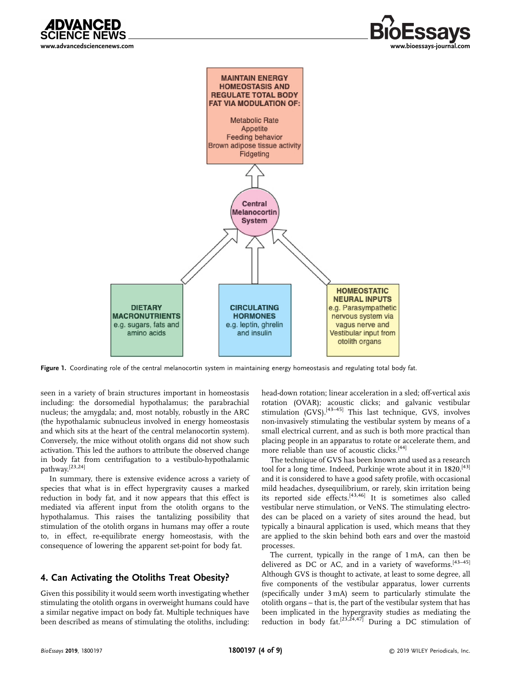





Figure 1. Coordinating role of the central melanocortin system in maintaining energy homeostasis and regulating total body fat.

seen in a variety of brain structures important in homeostasis including: the dorsomedial hypothalamus; the parabrachial nucleus; the amygdala; and, most notably, robustly in the ARC (the hypothalamic subnucleus involved in energy homeostasis and which sits at the heart of the central melanocortin system). Conversely, the mice without otolith organs did not show such activation. This led the authors to attribute the observed change in body fat from centrifugation to a vestibulo-hypothalamic pathway.[23,24]

In summary, there is extensive evidence across a variety of species that what is in effect hypergravity causes a marked reduction in body fat, and it now appears that this effect is mediated via afferent input from the otolith organs to the hypothalamus. This raises the tantalizing possibility that stimulation of the otolith organs in humans may offer a route to, in effect, re-equilibrate energy homeostasis, with the consequence of lowering the apparent set-point for body fat.

## **4. Can Activating the Otoliths Treat Obesity?**

Given this possibility it would seem worth investigating whether stimulating the otolith organs in overweight humans could have a similar negative impact on body fat. Multiple techniques have been described as means of stimulating the otoliths, including:

head-down rotation; linear acceleration in a sled; off-vertical axis rotation (OVAR); acoustic clicks; and galvanic vestibular stimulation  $(GVS)$ .<sup>[43-45]</sup> This last technique, GVS, involves non-invasively stimulating the vestibular system by means of a small electrical current, and as such is both more practical than placing people in an apparatus to rotate or accelerate them, and more reliable than use of acoustic clicks.[44]

The technique of GVS has been known and used as a research tool for a long time. Indeed, Purkinje wrote about it in  $1820$ ,  $[43]$ and it is considered to have a good safety profile, with occasional mild headaches, dysequilibrium, or rarely, skin irritation being its reported side effects.<sup>[43,46]</sup> It is sometimes also called vestibular nerve stimulation, or VeNS. The stimulating electrodes can be placed on a variety of sites around the head, but typically a binaural application is used, which means that they are applied to the skin behind both ears and over the mastoid processes.

The current, typically in the range of 1 mA, can then be delivered as DC or AC, and in a variety of waveforms.<sup>[43-45]</sup> Although GVS is thought to activate, at least to some degree, all five components of the vestibular apparatus, lower currents (specifically under 3 mA) seem to particularly stimulate the otolith organs – that is, the part of the vestibular system that has been implicated in the hypergravity studies as mediating the reduction in body fat.<sup>[23,24,47]</sup> During a DC stimulation of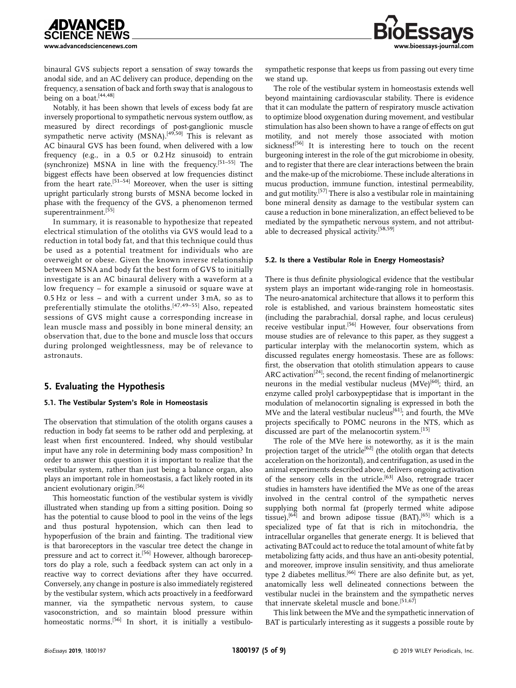



binaural GVS subjects report a sensation of sway towards the anodal side, and an AC delivery can produce, depending on the frequency, a sensation of back and forth sway that is analogous to being on a boat. $[44,48]$ 

Notably, it has been shown that levels of excess body fat are inversely proportional to sympathetic nervous system outflow, as measured by direct recordings of post-ganglionic muscle sympathetic nerve activity  $(MSNA)$ .<sup>[49,50]</sup> This is relevant as AC binaural GVS has been found, when delivered with a low frequency (e.g., in a 0.5 or 0.2 Hz sinusoid) to entrain (synchronize) MSNA in line with the frequency.[51–55] The biggest effects have been observed at low frequencies distinct from the heart rate.<sup>[51–54]</sup> Moreover, when the user is sitting upright particularly strong bursts of MSNA become locked in phase with the frequency of the GVS, a phenomenon termed superentrainment.<sup>[55]</sup>

In summary, it is reasonable to hypothesize that repeated electrical stimulation of the otoliths via GVS would lead to a reduction in total body fat, and that this technique could thus be used as a potential treatment for individuals who are overweight or obese. Given the known inverse relationship between MSNA and body fat the best form of GVS to initially investigate is an AC binaural delivery with a waveform at a low frequency – for example a sinusoid or square wave at 0.5 Hz or less – and with a current under 3 mA, so as to preferentially stimulate the otoliths.[47,49–55] Also, repeated sessions of GVS might cause a corresponding increase in lean muscle mass and possibly in bone mineral density; an observation that, due to the bone and muscle loss that occurs during prolonged weightlessness, may be of relevance to astronauts.

## **5. Evaluating the Hypothesis**

#### **5.1. The Vestibular System's Role in Homeostasis**

The observation that stimulation of the otolith organs causes a reduction in body fat seems to be rather odd and perplexing, at least when first encountered. Indeed, why should vestibular input have any role in determining body mass composition? In order to answer this question it is important to realize that the vestibular system, rather than just being a balance organ, also plays an important role in homeostasis, a fact likely rooted in its ancient evolutionary origin.[56]

This homeostatic function of the vestibular system is vividly illustrated when standing up from a sitting position. Doing so has the potential to cause blood to pool in the veins of the legs and thus postural hypotension, which can then lead to hypoperfusion of the brain and fainting. The traditional view is that baroreceptors in the vascular tree detect the change in pressure and act to correct it.<sup>[56]</sup> However, although baroreceptors do play a role, such a feedback system can act only in a reactive way to correct deviations after they have occurred. Conversely, any change in posture is also immediately registered by the vestibular system, which acts proactively in a feedforward manner, via the sympathetic nervous system, to cause vasoconstriction, and so maintain blood pressure within homeostatic norms.<sup>[56]</sup> In short, it is initially a vestibulosympathetic response that keeps us from passing out every time we stand up.

The role of the vestibular system in homeostasis extends well beyond maintaining cardiovascular stability. There is evidence that it can modulate the pattern of respiratory muscle activation to optimize blood oxygenation during movement, and vestibular stimulation has also been shown to have a range of effects on gut motility, and not merely those associated with motion sickness!<sup>[56]</sup> It is interesting here to touch on the recent burgeoning interest in the role of the gut microbiome in obesity, and to register that there are clear interactions between the brain and the make-up of the microbiome. These include alterations in mucus production, immune function, intestinal permeability, and gut motility.[57] There is also a vestibular role in maintaining bone mineral density as damage to the vestibular system can cause a reduction in bone mineralization, an effect believed to be mediated by the sympathetic nervous system, and not attributable to decreased physical activity.<sup>[58,59]</sup>

#### **5.2. Is there a Vestibular Role in Energy Homeostasis?**

There is thus definite physiological evidence that the vestibular system plays an important wide-ranging role in homeostasis. The neuro-anatomical architecture that allows it to perform this role is established, and various brainstem homeostatic sites (including the parabrachial, dorsal raphe, and locus ceruleus) receive vestibular input.<sup>[56]</sup> However, four observations from mouse studies are of relevance to this paper, as they suggest a particular interplay with the melanocortin system, which as discussed regulates energy homeostasis. These are as follows: first, the observation that otolith stimulation appears to cause ARC activation<sup>[24]</sup>; second, the recent finding of melanortinergic neurons in the medial vestibular nucleus  $(MVe)^{[60]}$ ; third, an enzyme called prolyl carboxypeptidase that is important in the modulation of melanocortin signaling is expressed in both the MVe and the lateral vestibular nucleus<sup>[61]</sup>; and fourth, the MVe projects specifically to POMC neurons in the NTS, which as discussed are part of the melanocortin system.<sup>[15]</sup>

The role of the MVe here is noteworthy, as it is the main projection target of the utricle<sup>[62]</sup> (the otolith organ that detects acceleration on the horizontal), and centrifugation, as used in the animal experiments described above, delivers ongoing activation of the sensory cells in the utricle.<sup>[63]</sup> Also, retrograde tracer studies in hamsters have identified the MVe as one of the areas involved in the central control of the sympathetic nerves supplying both normal fat (properly termed white adipose tissue),<sup> $[64]$ </sup> and brown adipose tissue (BAT), $[65]$  which is a specialized type of fat that is rich in mitochondria, the intracellular organelles that generate energy. It is believed that activating BATcould act to reduce the total amount of white fat by metabolizing fatty acids, and thus have an anti-obesity potential, and moreover, improve insulin sensitivity, and thus ameliorate type 2 diabetes mellitus.[66] There are also definite but, as yet, anatomically less well delineated connections between the vestibular nuclei in the brainstem and the sympathetic nerves that innervate skeletal muscle and bone.<sup>[51,67]</sup>

This link between the MVe and the sympathetic innervation of BAT is particularly interesting as it suggests a possible route by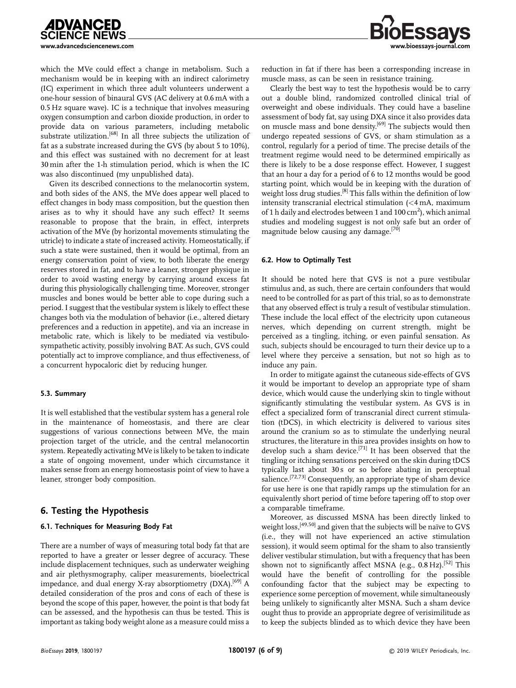



which the MVe could effect a change in metabolism. Such a mechanism would be in keeping with an indirect calorimetry (IC) experiment in which three adult volunteers underwent a one-hour session of binaural GVS (AC delivery at 0.6 mA with a 0.5 Hz square wave). IC is a technique that involves measuring oxygen consumption and carbon dioxide production, in order to provide data on various parameters, including metabolic substrate utilization.<sup>[68]</sup> In all three subjects the utilization of fat as a substrate increased during the GVS (by about 5 to 10%), and this effect was sustained with no decrement for at least 30 min after the 1-h stimulation period, which is when the IC was also discontinued (my unpublished data).

Given its described connections to the melanocortin system, and both sides of the ANS, the MVe does appear well placed to effect changes in body mass composition, but the question then arises as to why it should have any such effect? It seems reasonable to propose that the brain, in effect, interprets activation of the MVe (by horizontal movements stimulating the utricle) to indicate a state of increased activity. Homeostatically, if such a state were sustained, then it would be optimal, from an energy conservation point of view, to both liberate the energy reserves stored in fat, and to have a leaner, stronger physique in order to avoid wasting energy by carrying around excess fat during this physiologically challenging time. Moreover, stronger muscles and bones would be better able to cope during such a period. I suggest that the vestibular system is likely to effect these changes both via the modulation of behavior (i.e., altered dietary preferences and a reduction in appetite), and via an increase in metabolic rate, which is likely to be mediated via vestibulosympathetic activity, possibly involving BAT. As such, GVS could potentially act to improve compliance, and thus effectiveness, of a concurrent hypocaloric diet by reducing hunger.

#### **5.3. Summary**

It is well established that the vestibular system has a general role in the maintenance of homeostasis, and there are clear suggestions of various connections between MVe, the main projection target of the utricle, and the central melanocortin system. Repeatedly activating MVe is likely to be taken to indicate a state of ongoing movement, under which circumstance it makes sense from an energy homeostasis point of view to have a leaner, stronger body composition.

## **6. Testing the Hypothesis**

#### **6.1. Techniques for Measuring Body Fat**

There are a number of ways of measuring total body fat that are reported to have a greater or lesser degree of accuracy. These include displacement techniques, such as underwater weighing and air plethysmography, caliper measurements, bioelectrical impedance, and dual energy X-ray absorptiometry (DXA).<sup>[69]</sup> A detailed consideration of the pros and cons of each of these is beyond the scope of this paper, however, the point is that body fat can be assessed, and the hypothesis can thus be tested. This is important as taking body weight alone as a measure could miss a

reduction in fat if there has been a corresponding increase in muscle mass, as can be seen in resistance training.

Clearly the best way to test the hypothesis would be to carry out a double blind, randomized controlled clinical trial of overweight and obese individuals. They could have a baseline assessment of body fat, say using DXA since it also provides data on muscle mass and bone density.[69] The subjects would then undergo repeated sessions of GVS, or sham stimulation as a control, regularly for a period of time. The precise details of the treatment regime would need to be determined empirically as there is likely to be a dose response effect. However, I suggest that an hour a day for a period of 6 to 12 months would be good starting point, which would be in keeping with the duration of weight loss drug studies.<sup>[8]</sup> This falls within the definition of low intensity transcranial electrical stimulation (<4 mA, maximum of 1 h daily and electrodes between 1 and 100  $\text{cm}^2$ ), which animal studies and modeling suggest is not only safe but an order of magnitude below causing any damage.<sup>[70]</sup>

#### **6.2. How to Optimally Test**

It should be noted here that GVS is not a pure vestibular stimulus and, as such, there are certain confounders that would need to be controlled for as part of this trial, so as to demonstrate that any observed effect is truly a result of vestibular stimulation. These include the local effect of the electricity upon cutaneous nerves, which depending on current strength, might be perceived as a tingling, itching, or even painful sensation. As such, subjects should be encouraged to turn their device up to a level where they perceive a sensation, but not so high as to induce any pain.

In order to mitigate against the cutaneous side-effects of GVS it would be important to develop an appropriate type of sham device, which would cause the underlying skin to tingle without significantly stimulating the vestibular system. As GVS is in effect a specialized form of transcranial direct current stimulation (tDCS), in which electricity is delivered to various sites around the cranium so as to stimulate the underlying neural structures, the literature in this area provides insights on how to develop such a sham device.<sup>[71]</sup> It has been observed that the tingling or itching sensations perceived on the skin during tDCS typically last about 30s or so before abating in perceptual salience.<sup>[72,73]</sup> Consequently, an appropriate type of sham device for use here is one that rapidly ramps up the stimulation for an equivalently short period of time before tapering off to stop over a comparable timeframe.

Moreover, as discussed MSNA has been directly linked to weight loss,<sup>[49,50]</sup> and given that the subjects will be naïve to GVS (i.e., they will not have experienced an active stimulation session), it would seem optimal for the sham to also transiently deliver vestibular stimulation, but with a frequency that has been shown not to significantly affect MSNA (e.g.,  $0.8$  Hz).<sup>[52]</sup> This would have the benefit of controlling for the possible confounding factor that the subject may be expecting to experience some perception of movement, while simultaneously being unlikely to significantly alter MSNA. Such a sham device ought thus to provide an appropriate degree of verisimilitude as to keep the subjects blinded as to which device they have been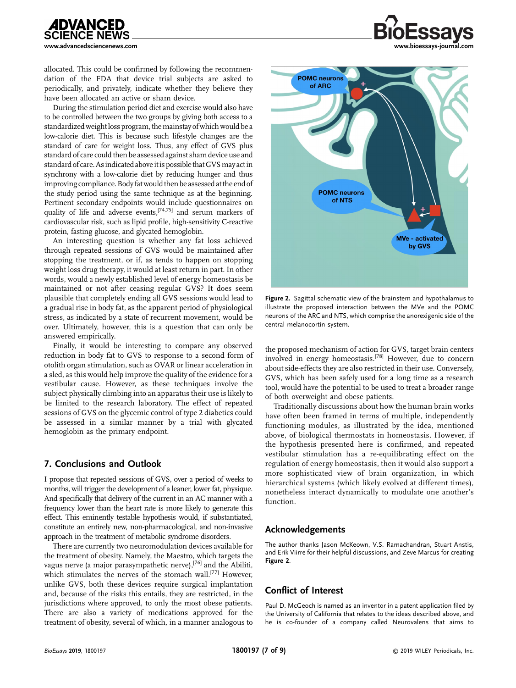

allocated. This could be confirmed by following the recommendation of the FDA that device trial subjects are asked to periodically, and privately, indicate whether they believe they have been allocated an active or sham device.

During the stimulation period diet and exercise would also have to be controlled between the two groups by giving both access to a standardized weight loss program, the mainstay of which would be a low-calorie diet. This is because such lifestyle changes are the standard of care for weight loss. Thus, any effect of GVS plus standard of care could then be assessed against sham device use and standard of care. As indicated above it is possible that GVS may act in synchrony with a low-calorie diet by reducing hunger and thus improving compliance. Body fat would then be assessed at the end of the study period using the same technique as at the beginning. Pertinent secondary endpoints would include questionnaires on quality of life and adverse events,<sup>[74,75]</sup> and serum markers of cardiovascular risk, such as lipid profile, high-sensitivity C-reactive protein, fasting glucose, and glycated hemoglobin.

An interesting question is whether any fat loss achieved through repeated sessions of GVS would be maintained after stopping the treatment, or if, as tends to happen on stopping weight loss drug therapy, it would at least return in part. In other words, would a newly established level of energy homeostasis be maintained or not after ceasing regular GVS? It does seem plausible that completely ending all GVS sessions would lead to a gradual rise in body fat, as the apparent period of physiological stress, as indicated by a state of recurrent movement, would be over. Ultimately, however, this is a question that can only be answered empirically.

Finally, it would be interesting to compare any observed reduction in body fat to GVS to response to a second form of otolith organ stimulation, such as OVAR or linear acceleration in a sled, as this would help improve the quality of the evidence for a vestibular cause. However, as these techniques involve the subject physically climbing into an apparatus their use is likely to be limited to the research laboratory. The effect of repeated sessions of GVS on the glycemic control of type 2 diabetics could be assessed in a similar manner by a trial with glycated hemoglobin as the primary endpoint.

## **7. Conclusions and Outlook**

I propose that repeated sessions of GVS, over a period of weeks to months, will trigger the development of a leaner, lower fat, physique. And specifically that delivery of the current in an AC manner with a frequency lower than the heart rate is more likely to generate this effect. This eminently testable hypothesis would, if substantiated, constitute an entirely new, non-pharmacological, and non-invasive approach in the treatment of metabolic syndrome disorders.

There are currently two neuromodulation devices available for the treatment of obesity. Namely, the Maestro, which targets the vagus nerve (a major parasympathetic nerve),<sup>[76]</sup> and the Abiliti, which stimulates the nerves of the stomach wall.<sup>[77]</sup> However, unlike GVS, both these devices require surgical implantation and, because of the risks this entails, they are restricted, in the jurisdictions where approved, to only the most obese patients. There are also a variety of medications approved for the treatment of obesity, several of which, in a manner analogous to





**Figure 2.** Sagittal schematic view of the brainstem and hypothalamus to illustrate the proposed interaction between the MVe and the POMC neurons of the ARC and NTS, which comprise the anorexigenic side of the central melanocortin system.

the proposed mechanism of action for GVS, target brain centers involved in energy homeostasis.[78] However, due to concern about side-effects they are also restricted in their use. Conversely, GVS, which has been safely used for a long time as a research tool, would have the potential to be used to treat a broader range of both overweight and obese patients.

Traditionally discussions about how the human brain works have often been framed in terms of multiple, independently functioning modules, as illustrated by the idea, mentioned above, of biological thermostats in homeostasis. However, if the hypothesis presented here is confirmed, and repeated vestibular stimulation has a re-equilibrating effect on the regulation of energy homeostasis, then it would also support a more sophisticated view of brain organization, in which hierarchical systems (which likely evolved at different times), nonetheless interact dynamically to modulate one another's function.

## **Acknowledgements**

The author thanks Jason McKeown, V.S. Ramachandran, Stuart Anstis, and Erik Viirre for their helpful discussions, and Zeve Marcus for creating **Figure 2**.

## **Conflict of Interest**

Paul D. McGeoch is named as an inventor in a patent application filed by the University of California that relates to the ideas described above, and he is co-founder of a company called Neurovalens that aims to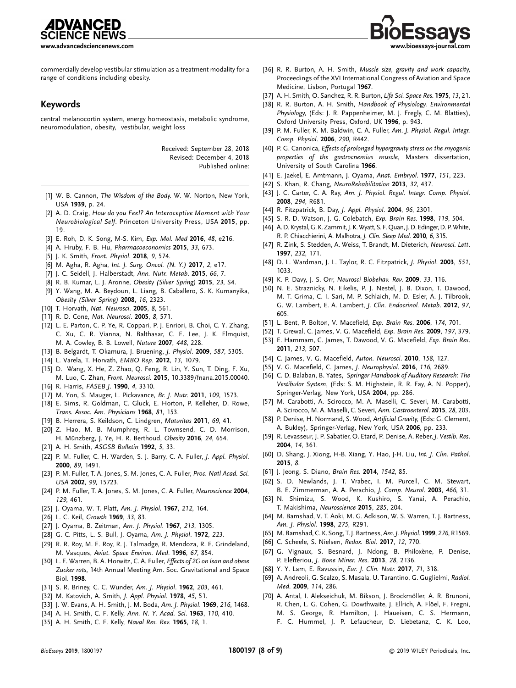**[www.advancedsciencenews.com](http://www.advancedsciencenews.com) [www.bioessays-journal.com](http://www.bioessays-journal.com)**

**1DVANCED ENCE NEWS** 



commercially develop vestibular stimulation as a treatment modality for a range of conditions including obesity.

### **Keywords**

central melanocortin system, energy homeostasis, metabolic syndrome, neuromodulation, obesity, vestibular, weight loss

> Received: September 28, 2018 Revised: December 4, 2018 Published online:

- [1] W. B. Cannon, *The Wisdom of the Body*. W. W. Norton, New York, USA **1939**, p. 24.
- [2] A. D. Craig, *How do you Feel? An Interoceptive Moment with Your Neurobiological Self*. Princeton University Press, USA **2015**, pp. 19.
- [3] E. Roh, D. K. Song, M-S. Kim, *Exp. Mol. Med* **2016**, *48*, e216.
- [4] A. Hruby, F. B. Hu, *Pharmacoeconomics* **2015**, *33*, 673.
- [5] J. K. Smith, *Front. Physiol*. **2018**, *9*, 574.
- [6] M. Agha, R. Agha, *Int. J. Surg. Oncol. (N. Y.)* **2017**, *2*, e17.
- [7] J. C. Seidell, J. Halberstadt, *Ann. Nutr. Metab*. **2015**, *66*, 7.
- [8] R. B. Kumar, L. J. Aronne, *Obesity (Silver Spring)* **2015**, *23*, S4.
- [9] Y. Wang, M. A. Beydoun, L. Liang, B. Caballero, S. K. Kumanyika, *Obesity (Silver Spring)* **2008**, *16*, 2323.
- [10] T. Horvath, *Nat. Neurosci*. **2005**, *8*, 561.
- [11] R. D. Cone, *Nat. Neurosci*. **2005**, *8*, 571.
- [12] L. E. Parton, C. P. Ye, R. Coppari, P. J. Enriori, B. Choi, C. Y. Zhang, C. Xu, C. R. Vianna, N. Balthasar, C. E. Lee, J. K. Elmquist, M. A. Cowley, B. B. Lowell, *Nature* **2007**, *448*, 228.
- [13] B. Belgardt, T. Okamura, J. Bruening, *J. Physiol*. **2009**, *587*, 5305.
- [14] L. Varela, T. Horvath, *EMBO Rep*. **2012**, *13*, 1079.
- [15] D. Wang, X. He, Z. Zhao, Q. Feng, R. Lin, Y. Sun, T. Ding, F. Xu, M. Luo, C. Zhan, *Front. Neurosci*. **2015**, 10.3389/fnana.2015.00040. [16] R. Harris, *FASEB J*. **1990**, *4*, 3310.
- [17] M. Yon, S. Mauger, L. Pickavance, *Br. J. Nutr*. **2011**, *109*, 1573.
- [18] E. Sims, R. Goldman, C. Gluck, E. Horton, P. Kelleher, D. Rowe, *Trans. Assoc. Am. Physicians* **1968**, *81*, 153.
- [19] B. Herrera, S. Keildson, C. Lindgren, *Maturitas* **2011**, *69*, 41.
- [20] Z. Hao, M. B. Mumphrey, R. L. Townsend, C. D. Morrison, H. Münzberg, J. Ye, H. R. Berthoud, *Obesity* **2016**, *24*, 654.
- [21] A. H. Smith, *ASGSB Bulletin* **1992**, *5*, 33.
- [22] P. M. Fuller, C. H. Warden, S. J. Barry, C. A. Fuller, *J. Appl. Physiol*. **2000**, *89*, 1491.
- [23] P. M. Fuller, T. A. Jones, S. M. Jones, C. A. Fuller, *Proc. Natl Acad. Sci. USA* **2002**, *99*, 15723.
- [24] P. M. Fuller, T. A. Jones, S. M. Jones, C. A. Fuller, *Neuroscience* **2004**, *129*, 461.
- [25] J. Oyama, W. T. Platt, *Am. J. Physiol*. **1967**, *212*, 164.
- [26] L. C. Keil, *Growth* **1969**, *33*, 83.
- [27] J. Oyama, B. Zeitman, *Am. J. Physiol*. **1967**, *213*, 1305.
- [28] G. C. Pitts, L. S. Bull, J. Oyama, *Am. J. Physiol*. **1972**, *223*.
- [29] R. R. Roy, M. E. Roy, R. J. Talmadge, R. Mendoza, R. E. Grindeland, M. Vasques, *Aviat. Space Environ. Med*. **1996**, *67*, 854.
- [30] L. E. Warren, B. A. Horwitz, C. A. Fuller, *Effects of 2G on lean and obese Zucker rats*, 14th Annual Meeting Am. Soc. Gravitational and Space Biol. **1998**.
- [31] S. R. Briney, C. C. Wunder, *Am. J. Physiol*. **1962**, *203*, 461.
- [32] M. Katovich, A. Smith, *J. Appl. Physiol*. **1978**, *45*, 51.
- [33] J. W. Evans, A. H. Smith, J. M. Boda, *Am. J. Physiol*. **1969**, *216*, 1468.
- [34] A. H. Smith, C. F. Kelly, *Ann. N. Y. Acad. Sci*. **1963**, *110*, 410.
- [35] A. H. Smith, C. F. Kelly, *Naval Res. Rev*. **1965**, *18*, 1.
- [36] R. R. Burton, A. H. Smith, *Muscle size, gravity and work capacity*, Proceedings of the XVI International Congress of Aviation and Space Medicine, Lisbon, Portugal **1967**.
- [37] A. H. Smith, O. Sanchez, R. R. Burton, *Life Sci. Space Res*. **1975**, *13*, 21.
- [38] R. R. Burton, A. H. Smith, *Handbook of Physiology. Environmental Physiology*, (Eds: J. R. Pappenheimer, M. J. Fregly, C. M. Blatties), Oxford University Press, Oxford, UK **1996**, p. 943.
- [39] P. M. Fuller, K. M. Baldwin, C. A. Fuller, *Am. J. Physiol. Regul. Integr. Comp. Physiol*. **2006**, *290*, R442.
- [40] P. G. Canonica, *Effects of prolonged hypergravity stress on the myogenic properties of the gastrocnemius muscle*, Masters dissertation, University of South Carolina **1966**.
- [41] E. Jaekel, E. Amtmann, J. Oyama, *Anat. Embryol*. **1977**, *151*, 223.
- [42] S. Khan, R. Chang, *NeuroRehabilitation* **2013**, *32*, 437.
- [43] J. C. Carter, C. A. Ray, *Am. J. Physiol. Regul. Integr. Comp. Physiol*. **2008**, *294*, R681.
- [44] R. Fitzpatrick, B. Day, *J. Appl. Physiol*. **2004**, *96*, 2301.
- [45] S. R. D. Watson, J. G. Colebatch, *Exp. Brain Res*. **1998**, *119*, 504.
- [46] A.D. Krystal, G.K. Zammit, J.K. Wyatt, S.F. Quan, J.D. Edinger, D.P. White, R. P. Chiacchierini, A. Malhotra, *J. Clin. Sleep Med*. **2010**, *6*, 315.
- [47] R. Zink, S. Stedden, A. Weiss, T. Brandt, M. Dieterich, *Neurosci. Lett*. **1997**, *232*, 171.
- [48] D. L. Wardman, J. L. Taylor, R. C. Fitzpatrick, *J. Physiol*. **2003**, *551*, 1033.
- [49] K. P. Davy, J. S. Orr, *Neurosci Biobehav. Rev*. **2009**, *33*, 116.
- [50] N. E. Straznicky, N. Eikelis, P. J. Nestel, J. B. Dixon, T. Dawood, M. T. Grima, C. I. Sari, M. P. Schlaich, M. D. Esler, A. J. Tilbrook, G. W. Lambert, E. A. Lambert, *J. Clin. Endocrinol. Metab*. **2012**, *97*, 605.
- [51] L. Bent, P. Bolton, V. Macefield, *Exp. Brain Res*. **2006**, *174*, 701.
- [52] T. Grewal, C. James, V. G. Macefield, *Exp. Brain Res*. **2009**, *197*, 379.
- [53] E. Hammam, C. James, T. Dawood, V. G. Macefield, *Exp. Brain Res*.
- **2011**, *213*, 507.
- [54] C. James, V. G. Macefield, *Auton. Neurosci*. **2010**, *158*, 127.
- [55] V. G. Macefield, C. James, *J. Neurophysiol*. **2016**, *116*, 2689.
- [56] C. D. Balaban, B. Yates, *Springer Handbook of Auditory Research: The Vestibular System*, (Eds: S. M. Highstein, R. R. Fay, A. N. Popper), Springer-Verlag, New York, USA **2004**, pp. 286.
- [57] M. Carabotti, A. Scirocco, M. A. Maselli, C. Severi, M. Carabotti, A. Scirocco, M. A. Maselli, C. Severi, *Ann. Gastroenterol*. **2015**, *28*, 203.
- [58] P. Denise, H. Normand, S. Wood, *Artificial Gravity*, (Eds: G. Clement, A. Bukley), Springer-Verlag, New York, USA **2006**, pp. 233.
- [59] R. Levasseur, J. P. Sabatier, O. Etard, P. Denise, A. Reber, *J. Vestib. Res*. **2004**, *14*, 361.
- [60] D. Shang, J. Xiong, H-B. Xiang, Y. Hao, J-H. Liu, *Int. J. Clin. Pathol*. **2015**, *8*.
- [61] J. Jeong, S. Diano, *Brain Res*. **2014**, *1542*, 85.
- [62] S. D. Newlands, J. T. Vrabec, I. M. Purcell, C. M. Stewart, B. E. Zimmerman, A. A. Perachio, *J. Comp. Neurol*. **2003**, *466*, 31.
- [63] N. Shimizu, S. Wood, K. Kushiro, S. Yanai, A. Perachio, T. Makishima, *Neuroscience* **2015**, *285*, 204.
- [64] M. Bamshad, V. T. Aoki, M. G. Adkison, W. S. Warren, T. J. Bartness, *Am. J. Physiol*. **1998**, *275*, R291.
- [65] M. Bamshad, C. K. Song, T.J. Bartness,*Am.J. Physiol*. **1999**, *276*, R1569.
- [66] C. Scheele, S. Nielsen, *Redox. Biol*. **2017**, *12*, 770.
- [67] G. Vignaux, S. Besnard, J. Ndong, B. Philoxène, P. Denise, P. Elefteriou, *J. Bone Miner. Res*. **2013**, *28*, 2136.
- [68] Y. Y. Lam, E. Ravussin, *Eur. J. Clin. Nutr*. **2017**, *71*, 318.
- [69] A. Andreoli, G. Scalzo, S. Masala, U. Tarantino, G. Guglielmi, *Radiol. Med*. **2009**, *114*, 286.
- [70] A. Antal, I. Alekseichuk, M. Bikson, J. Brockmöller, A. R. Brunoni, R. Chen, L. G. Cohen, G. Dowthwaite, J. Ellrich, A. Flöel, F. Fregni, M. S. George, R. Hamilton, J. Haueisen, C. S. Hermann, F. C. Hummel, J. P. Lefaucheur, D. Liebetanz, C. K. Loo,